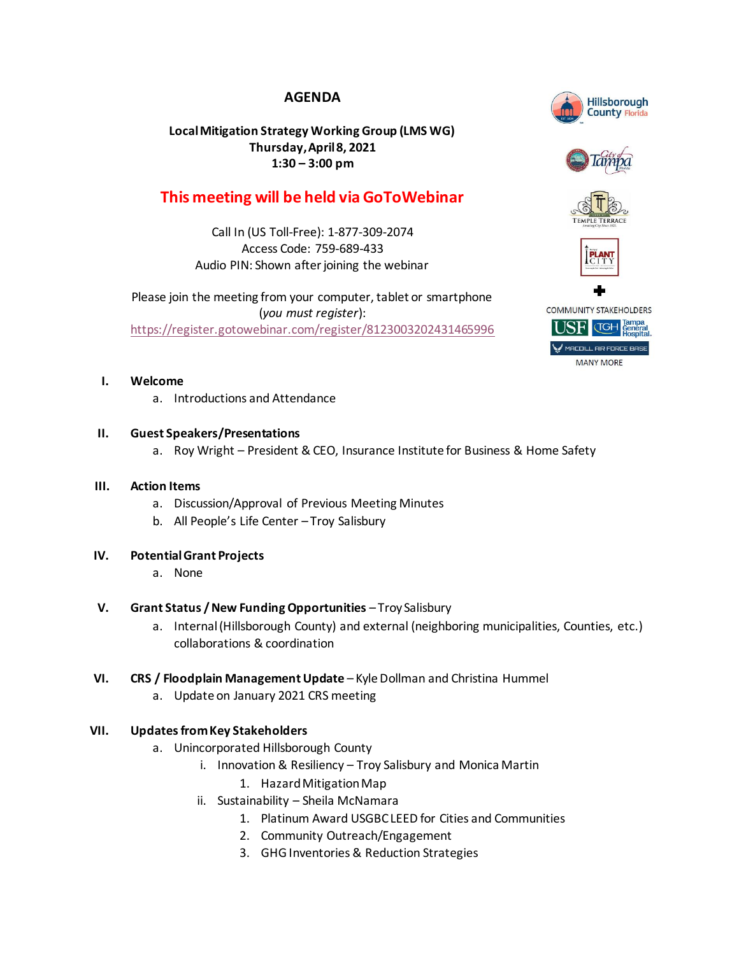# **AGENDA**

## **Local Mitigation Strategy Working Group (LMS WG) Thursday, April8, 2021 1:30 – 3:00 pm**

# **This meeting will be held via GoToWebinar**

Call In (US Toll-Free): 1-877-309-2074 Access Code: 759-689-433 Audio PIN: Shown after joining the webinar

Please join the meeting from your computer, tablet or smartphone (*you must register*): <https://register.gotowebinar.com/register/8123003202431465996>

## **I. Welcome**

a. Introductions and Attendance

## **II. Guest Speakers/Presentations**

a. Roy Wright – President & CEO, Insurance Institute for Business & Home Safety

#### **III. Action Items**

- a. Discussion/Approval of Previous Meeting Minutes
- b. All People's Life Center Troy Salisbury

#### **IV. Potential Grant Projects**

a. None

## **V. Grant Status / New Funding Opportunities** – Troy Salisbury

- a. Internal (Hillsborough County) and external (neighboring municipalities, Counties, etc.) collaborations & coordination
- **VI. CRS / Floodplain Management Update** Kyle Dollman and Christina Hummel
	- a. Update on January 2021 CRS meeting

## **VII. Updates from Key Stakeholders**

- a. Unincorporated Hillsborough County
	- i. Innovation & Resiliency Troy Salisbury and Monica Martin
		- 1. Hazard Mitigation Map
	- ii. Sustainability Sheila McNamara
		- 1. Platinum Award USGBC LEED for Cities and Communities
		- 2. Community Outreach/Engagement
		- 3. GHG Inventories & Reduction Strategies